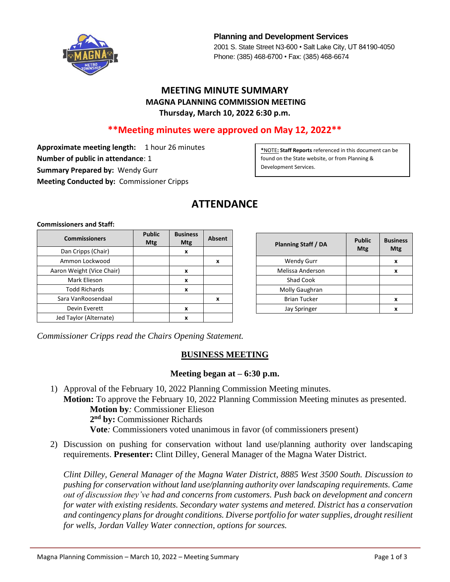

**Planning and Development Services** 2001 S. State Street N3-600 • Salt Lake City, UT 84190-4050 Phone: (385) 468-6700 • Fax: (385) 468-6674

## **MEETING MINUTE SUMMARY MAGNA PLANNING COMMISSION MEETING Thursday, March 10, 2022 6:30 p.m.**

## **\*\*Meeting minutes were approved on May 12, 2022\*\***

**Approximate meeting length:** 1 hour 26 minutes **Number of public in attendance**: 1 **Summary Prepared by:** Wendy Gurr **Meeting Conducted by:** Commissioner Cripps

**\***NOTE**: Staff Reports** referenced in this document can be found on the State website, or from Planning & Development Services.

# **ATTENDANCE**

**Commissioners and Staff:**

| <b>Commissioners</b>      | <b>Public</b><br><b>Mtg</b> | <b>Business</b><br><b>Mtg</b> | <b>Absent</b> |
|---------------------------|-----------------------------|-------------------------------|---------------|
| Dan Cripps (Chair)        |                             | x                             |               |
| Ammon Lockwood            |                             |                               | x             |
| Aaron Weight (Vice Chair) |                             | x                             |               |
| Mark Elieson              |                             | x                             |               |
| <b>Todd Richards</b>      |                             | x                             |               |
| Sara VanRoosendaal        |                             |                               | x             |
| Devin Everett             |                             | x                             |               |
| Jed Taylor (Alternate)    |                             | x                             |               |

| <b>Planning Staff / DA</b> | <b>Public</b><br>Mtg | <b>Business</b><br>Mtg |
|----------------------------|----------------------|------------------------|
| <b>Wendy Gurr</b>          |                      | x                      |
| Melissa Anderson           |                      | x                      |
| <b>Shad Cook</b>           |                      |                        |
| Molly Gaughran             |                      |                        |
| <b>Brian Tucker</b>        |                      | x                      |
| <b>Jay Springer</b>        |                      | x                      |

*Commissioner Cripps read the Chairs Opening Statement.*

#### **BUSINESS MEETING**

#### **Meeting began at – 6:30 p.m.**

1) Approval of the February 10, 2022 Planning Commission Meeting minutes. **Motion:** To approve the February 10, 2022 Planning Commission Meeting minutes as presented.

**Motion by***:* Commissioner Elieson

**2 nd by:** Commissioner Richards

**Vote***:* Commissioners voted unanimous in favor (of commissioners present)

2) Discussion on pushing for conservation without land use/planning authority over landscaping requirements. **Presenter:** Clint Dilley, General Manager of the Magna Water District.

*Clint Dilley, General Manager of the Magna Water District, 8885 West 3500 South. Discussion to pushing for conservation without land use/planning authority over landscaping requirements. Came out of discussion they've had and concerns from customers. Push back on development and concern for water with existing residents. Secondary water systems and metered. District has a conservation and contingency plans for drought conditions. Diverse portfolio for water supplies, drought resilient for wells, Jordan Valley Water connection, options for sources.*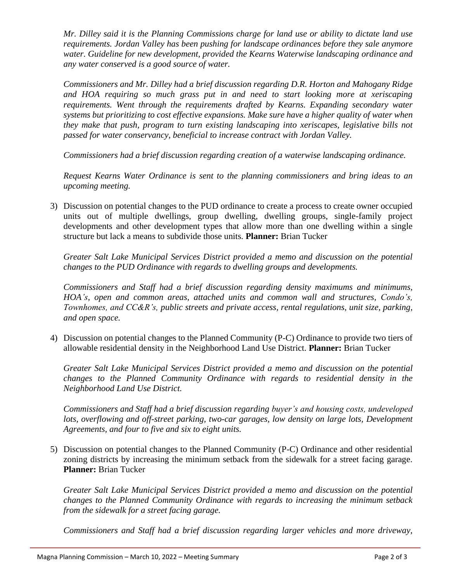*Mr. Dilley said it is the Planning Commissions charge for land use or ability to dictate land use requirements. Jordan Valley has been pushing for landscape ordinances before they sale anymore water. Guideline for new development, provided the Kearns Waterwise landscaping ordinance and any water conserved is a good source of water.*

*Commissioners and Mr. Dilley had a brief discussion regarding D.R. Horton and Mahogany Ridge and HOA requiring so much grass put in and need to start looking more at xeriscaping requirements. Went through the requirements drafted by Kearns. Expanding secondary water systems but prioritizing to cost effective expansions. Make sure have a higher quality of water when they make that push, program to turn existing landscaping into xeriscapes, legislative bills not passed for water conservancy, beneficial to increase contract with Jordan Valley.*

*Commissioners had a brief discussion regarding creation of a waterwise landscaping ordinance.*

*Request Kearns Water Ordinance is sent to the planning commissioners and bring ideas to an upcoming meeting.* 

3) Discussion on potential changes to the PUD ordinance to create a process to create owner occupied units out of multiple dwellings, group dwelling, dwelling groups, single-family project developments and other development types that allow more than one dwelling within a single structure but lack a means to subdivide those units. **Planner:** Brian Tucker

*Greater Salt Lake Municipal Services District provided a memo and discussion on the potential changes to the PUD Ordinance with regards to dwelling groups and developments.*

*Commissioners and Staff had a brief discussion regarding density maximums and minimums, HOA's, open and common areas, attached units and common wall and structures, Condo's, Townhomes, and CC&R's, public streets and private access, rental regulations, unit size, parking, and open space.*

4) Discussion on potential changes to the Planned Community (P-C) Ordinance to provide two tiers of allowable residential density in the Neighborhood Land Use District. **Planner:** Brian Tucker

*Greater Salt Lake Municipal Services District provided a memo and discussion on the potential changes to the Planned Community Ordinance with regards to residential density in the Neighborhood Land Use District.*

*Commissioners and Staff had a brief discussion regarding buyer's and housing costs, undeveloped lots, overflowing and off-street parking, two-car garages, low density on large lots, Development Agreements, and four to five and six to eight units.*

5) Discussion on potential changes to the Planned Community (P-C) Ordinance and other residential zoning districts by increasing the minimum setback from the sidewalk for a street facing garage. **Planner:** Brian Tucker

*Greater Salt Lake Municipal Services District provided a memo and discussion on the potential changes to the Planned Community Ordinance with regards to increasing the minimum setback from the sidewalk for a street facing garage.*

*Commissioners and Staff had a brief discussion regarding larger vehicles and more driveway,*